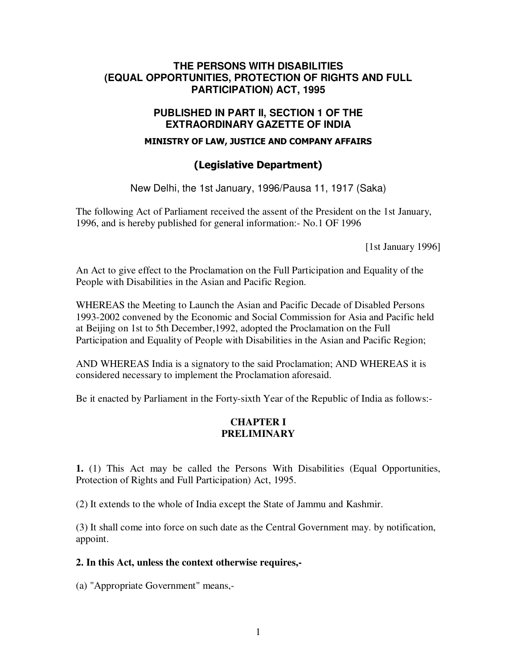## **THE PERSONS WITH DISABILITIES (EQUAL OPPORTUNITIES, PROTECTION OF RIGHTS AND FULL PARTICIPATION) ACT, 1995**

## **PUBLISHED IN PART II, SECTION 1 OF THE EXTRAORDINARY GAZETTE OF INDIA**

#### MINISTRY OF LAW, JUSTICE AND COMPANY AFFAIRS

# (Legislative Department)

New Delhi, the 1st January, 1996/Pausa 11, 1917 (Saka)

The following Act of Parliament received the assent of the President on the 1st January, 1996, and is hereby published for general information:- No.1 OF 1996

[1st January 1996]

An Act to give effect to the Proclamation on the Full Participation and Equality of the People with Disabilities in the Asian and Pacific Region.

WHEREAS the Meeting to Launch the Asian and Pacific Decade of Disabled Persons 1993-2002 convened by the Economic and Social Commission for Asia and Pacific held at Beijing on 1st to 5th December,1992, adopted the Proclamation on the Full Participation and Equality of People with Disabilities in the Asian and Pacific Region;

AND WHEREAS India is a signatory to the said Proclamation; AND WHEREAS it is considered necessary to implement the Proclamation aforesaid.

Be it enacted by Parliament in the Forty-sixth Year of the Republic of India as follows:-

## **CHAPTER I PRELIMINARY**

**1.** (1) This Act may be called the Persons With Disabilities (Equal Opportunities, Protection of Rights and Full Participation) Act, 1995.

(2) It extends to the whole of India except the State of Jammu and Kashmir.

(3) It shall come into force on such date as the Central Government may. by notification, appoint.

#### **2. In this Act, unless the context otherwise requires,-**

(a) "Appropriate Government" means,-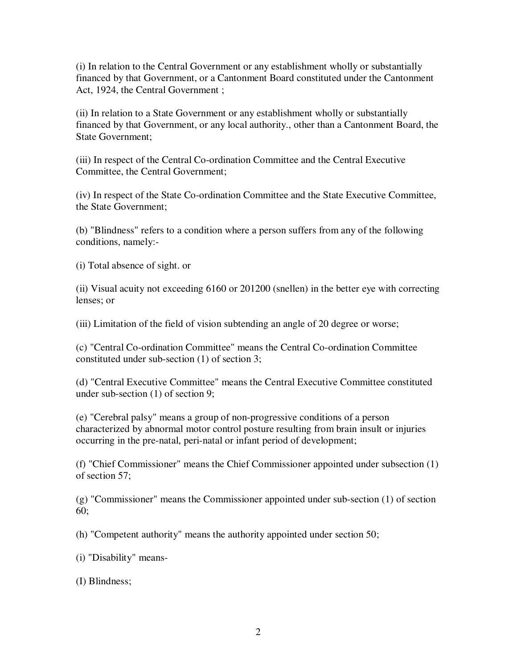(i) In relation to the Central Government or any establishment wholly or substantially financed by that Government, or a Cantonment Board constituted under the Cantonment Act, 1924, the Central Government ;

(ii) In relation to a State Government or any establishment wholly or substantially financed by that Government, or any local authority., other than a Cantonment Board, the State Government;

(iii) In respect of the Central Co-ordination Committee and the Central Executive Committee, the Central Government;

(iv) In respect of the State Co-ordination Committee and the State Executive Committee, the State Government;

(b) "Blindness" refers to a condition where a person suffers from any of the following conditions, namely:-

(i) Total absence of sight. or

(ii) Visual acuity not exceeding 6160 or 201200 (snellen) in the better eye with correcting lenses; or

(iii) Limitation of the field of vision subtending an angle of 20 degree or worse;

(c) "Central Co-ordination Committee" means the Central Co-ordination Committee constituted under sub-section (1) of section 3;

(d) "Central Executive Committee" means the Central Executive Committee constituted under sub-section (1) of section 9;

(e) "Cerebral palsy" means a group of non-progressive conditions of a person characterized by abnormal motor control posture resulting from brain insult or injuries occurring in the pre-natal, peri-natal or infant period of development;

(f) "Chief Commissioner" means the Chief Commissioner appointed under subsection (1) of section 57;

(g) "Commissioner" means the Commissioner appointed under sub-section (1) of section 60;

(h) "Competent authority" means the authority appointed under section 50;

(i) "Disability" means-

(I) Blindness;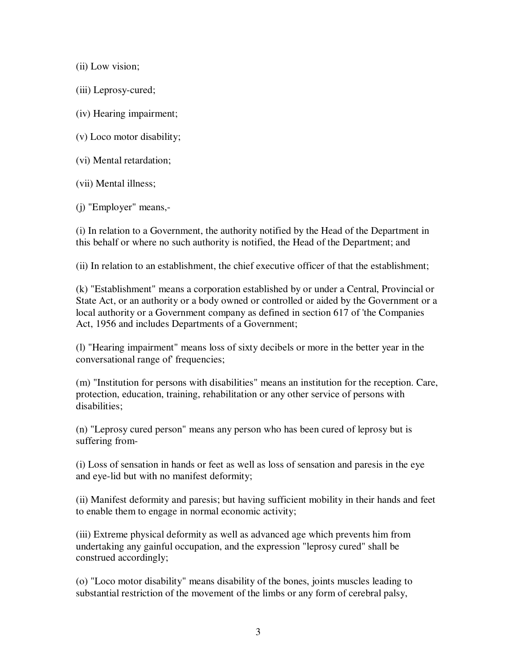(ii) Low vision;

(iii) Leprosy-cured;

(iv) Hearing impairment;

- (v) Loco motor disability;
- (vi) Mental retardation;
- (vii) Mental illness;

(j) "Employer" means,-

(i) In relation to a Government, the authority notified by the Head of the Department in this behalf or where no such authority is notified, the Head of the Department; and

(ii) In relation to an establishment, the chief executive officer of that the establishment;

(k) "Establishment" means a corporation established by or under a Central, Provincial or State Act, or an authority or a body owned or controlled or aided by the Government or a local authority or a Government company as defined in section 617 of 'the Companies Act, 1956 and includes Departments of a Government;

(l) "Hearing impairment" means loss of sixty decibels or more in the better year in the conversational range of' frequencies;

(m) "Institution for persons with disabilities" means an institution for the reception. Care, protection, education, training, rehabilitation or any other service of persons with disabilities;

(n) "Leprosy cured person" means any person who has been cured of leprosy but is suffering from-

(i) Loss of sensation in hands or feet as well as loss of sensation and paresis in the eye and eye-lid but with no manifest deformity;

(ii) Manifest deformity and paresis; but having sufficient mobility in their hands and feet to enable them to engage in normal economic activity;

(iii) Extreme physical deformity as well as advanced age which prevents him from undertaking any gainful occupation, and the expression "leprosy cured" shall be construed accordingly;

(o) "Loco motor disability" means disability of the bones, joints muscles leading to substantial restriction of the movement of the limbs or any form of cerebral palsy,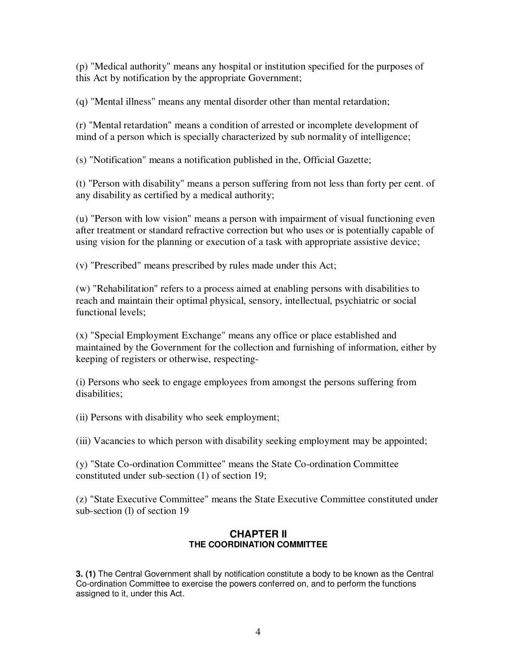(p) "Medical authority" means any hospital or institution specified for the purposes of this Act by notification by the appropriate Government;

(q) "Mental illness" means any mental disorder other than mental retardation;

(r) "Mental retardation" means a condition of arrested or incomplete development of mind of a person which is specially characterized by sub normality of intelligence;

(s) "Notification" means a notification published in the, Official Gazette;

(t) "Person with disability" means a person suffering from not less than forty per cent. of any disability as certified by a medical authority;

(u) "Person with low vision" means a person with impairment of visual functioning even after treatment or standard refractive correction but who uses or is potentially capable of using vision for the planning or execution of a task with appropriate assistive device;

(v) "Prescribed" means prescribed by rules made under this Act;

(w) "Rehabilitation" refers to a process aimed at enabling persons with disabilities to reach and maintain their optimal physical, sensory, intellectual, psychiatric or social functional levels;

(x) "Special Employment Exchange" means any office or place established and maintained by the Government for the collection and furnishing of information, either by keeping of registers or otherwise, respecting-

(i) Persons who seek to engage employees from amongst the persons suffering from disabilities;

(ii) Persons with disability who seek employment;

(iii) Vacancies to which person with disability seeking employment may be appointed;

(y) "State Co-ordination Committee" means the State Co-ordination Committee constituted under sub-section (1) of section 19;

(z) "State Executive Committee" means the State Executive Committee constituted under sub-section (l) of section 19

#### **CHAPTER II THE COORDINATION COMMITTEE**

**3. (1)** The Central Government shall by notification constitute a body to be known as the Central Co-ordination Committee to exercise the powers conferred on, and to perform the functions assigned to it, under this Act.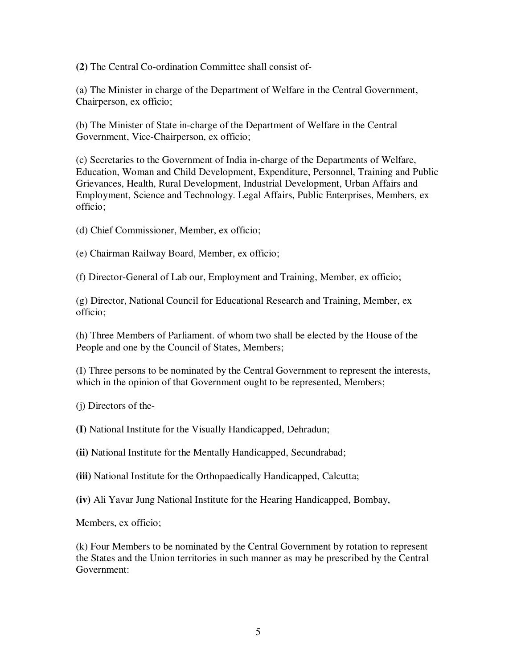**(2)** The Central Co-ordination Committee shall consist of-

(a) The Minister in charge of the Department of Welfare in the Central Government, Chairperson, ex officio;

(b) The Minister of State in-charge of the Department of Welfare in the Central Government, Vice-Chairperson, ex officio;

(c) Secretaries to the Government of India in-charge of the Departments of Welfare, Education, Woman and Child Development, Expenditure, Personnel, Training and Public Grievances, Health, Rural Development, Industrial Development, Urban Affairs and Employment, Science and Technology. Legal Affairs, Public Enterprises, Members, ex officio;

(d) Chief Commissioner, Member, ex officio;

(e) Chairman Railway Board, Member, ex officio;

(f) Director-General of Lab our, Employment and Training, Member, ex officio;

(g) Director, National Council for Educational Research and Training, Member, ex officio;

(h) Three Members of Parliament. of whom two shall be elected by the House of the People and one by the Council of States, Members;

(I) Three persons to be nominated by the Central Government to represent the interests, which in the opinion of that Government ought to be represented, Members;

(j) Directors of the-

**(I)** National Institute for the Visually Handicapped, Dehradun;

**(ii)** National Institute for the Mentally Handicapped, Secundrabad;

**(iii)** National Institute for the Orthopaedically Handicapped, Calcutta;

**(iv)** Ali Yavar Jung National Institute for the Hearing Handicapped, Bombay,

Members, ex officio;

(k) Four Members to be nominated by the Central Government by rotation to represent the States and the Union territories in such manner as may be prescribed by the Central Government: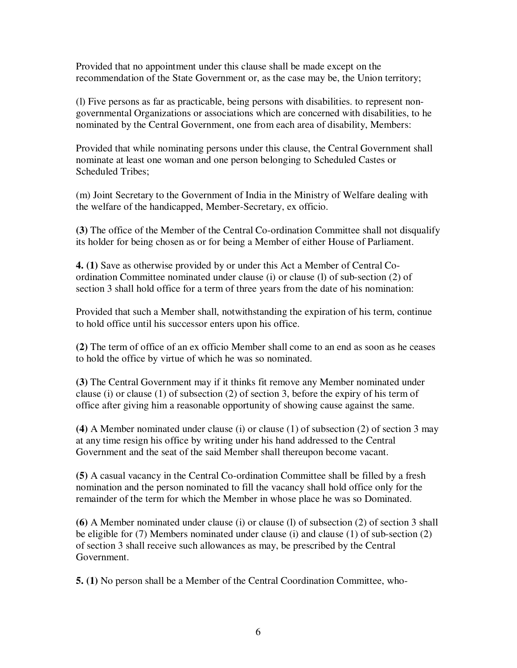Provided that no appointment under this clause shall be made except on the recommendation of the State Government or, as the case may be, the Union territory;

(l) Five persons as far as practicable, being persons with disabilities. to represent nongovernmental Organizations or associations which are concerned with disabilities, to he nominated by the Central Government, one from each area of disability, Members:

Provided that while nominating persons under this clause, the Central Government shall nominate at least one woman and one person belonging to Scheduled Castes or Scheduled Tribes;

(m) Joint Secretary to the Government of India in the Ministry of Welfare dealing with the welfare of the handicapped, Member-Secretary, ex officio.

**(3)** The office of the Member of the Central Co-ordination Committee shall not disqualify its holder for being chosen as or for being a Member of either House of Parliament.

**4. (1)** Save as otherwise provided by or under this Act a Member of Central Coordination Committee nominated under clause (i) or clause (l) of sub-section (2) of section 3 shall hold office for a term of three years from the date of his nomination:

Provided that such a Member shall, notwithstanding the expiration of his term, continue to hold office until his successor enters upon his office.

**(2)** The term of office of an ex officio Member shall come to an end as soon as he ceases to hold the office by virtue of which he was so nominated.

**(3)** The Central Government may if it thinks fit remove any Member nominated under clause (i) or clause (1) of subsection (2) of section 3, before the expiry of his term of office after giving him a reasonable opportunity of showing cause against the same.

**(4)** A Member nominated under clause (i) or clause (1) of subsection (2) of section 3 may at any time resign his office by writing under his hand addressed to the Central Government and the seat of the said Member shall thereupon become vacant.

**(5)** A casual vacancy in the Central Co-ordination Committee shall be filled by a fresh nomination and the person nominated to fill the vacancy shall hold office only for the remainder of the term for which the Member in whose place he was so Dominated.

**(6)** A Member nominated under clause (i) or clause (l) of subsection (2) of section 3 shall be eligible for (7) Members nominated under clause (i) and clause (1) of sub-section (2) of section 3 shall receive such allowances as may, be prescribed by the Central Government.

**5. (1)** No person shall be a Member of the Central Coordination Committee, who-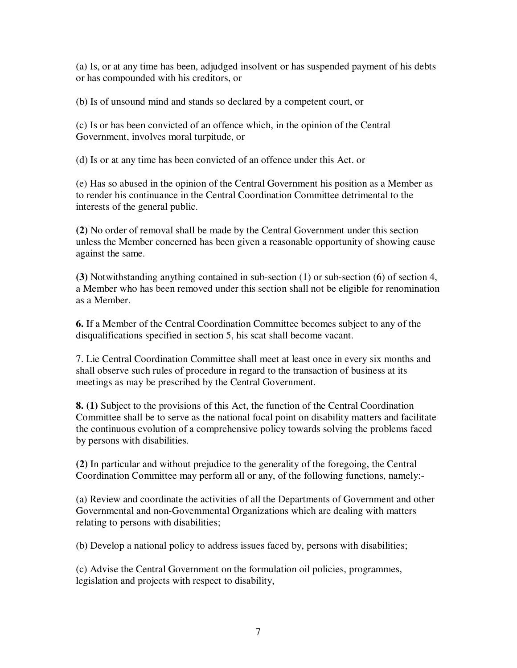(a) Is, or at any time has been, adjudged insolvent or has suspended payment of his debts or has compounded with his creditors, or

(b) Is of unsound mind and stands so declared by a competent court, or

(c) Is or has been convicted of an offence which, in the opinion of the Central Government, involves moral turpitude, or

(d) Is or at any time has been convicted of an offence under this Act. or

(e) Has so abused in the opinion of the Central Government his position as a Member as to render his continuance in the Central Coordination Committee detrimental to the interests of the general public.

**(2)** No order of removal shall be made by the Central Government under this section unless the Member concerned has been given a reasonable opportunity of showing cause against the same.

**(3)** Notwithstanding anything contained in sub-section (1) or sub-section (6) of section 4, a Member who has been removed under this section shall not be eligible for renomination as a Member.

**6.** If a Member of the Central Coordination Committee becomes subject to any of the disqualifications specified in section 5, his scat shall become vacant.

7. Lie Central Coordination Committee shall meet at least once in every six months and shall observe such rules of procedure in regard to the transaction of business at its meetings as may be prescribed by the Central Government.

**8. (1)** Subject to the provisions of this Act, the function of the Central Coordination Committee shall be to serve as the national focal point on disability matters and facilitate the continuous evolution of a comprehensive policy towards solving the problems faced by persons with disabilities.

**(2)** In particular and without prejudice to the generality of the foregoing, the Central Coordination Committee may perform all or any, of the following functions, namely:-

(a) Review and coordinate the activities of all the Departments of Government and other Governmental and non-Govemmental Organizations which are dealing with matters relating to persons with disabilities;

(b) Develop a national policy to address issues faced by, persons with disabilities;

(c) Advise the Central Government on the formulation oil policies, programmes, legislation and projects with respect to disability,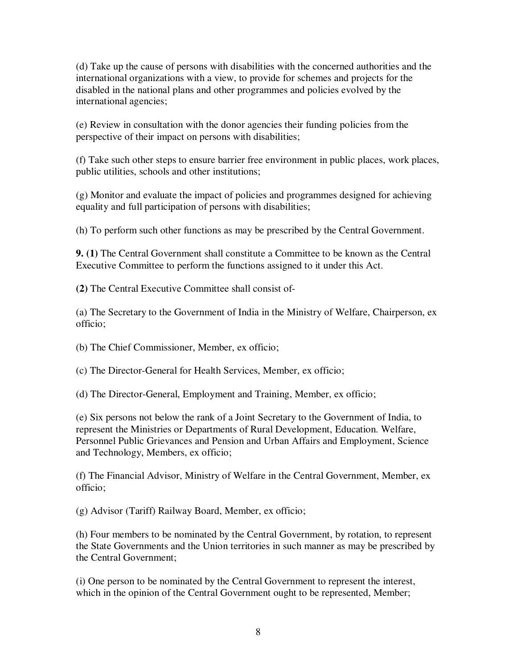(d) Take up the cause of persons with disabilities with the concerned authorities and the international organizations with a view, to provide for schemes and projects for the disabled in the national plans and other programmes and policies evolved by the international agencies;

(e) Review in consultation with the donor agencies their funding policies from the perspective of their impact on persons with disabilities;

(f) Take such other steps to ensure barrier free environment in public places, work places, public utilities, schools and other institutions;

(g) Monitor and evaluate the impact of policies and programmes designed for achieving equality and full participation of persons with disabilities;

(h) To perform such other functions as may be prescribed by the Central Government.

**9. (1)** The Central Government shall constitute a Committee to be known as the Central Executive Committee to perform the functions assigned to it under this Act.

**(2)** The Central Executive Committee shall consist of-

(a) The Secretary to the Government of India in the Ministry of Welfare, Chairperson, ex officio;

(b) The Chief Commissioner, Member, ex officio;

(c) The Director-General for Health Services, Member, ex officio;

(d) The Director-General, Employment and Training, Member, ex officio;

(e) Six persons not below the rank of a Joint Secretary to the Government of India, to represent the Ministries or Departments of Rural Development, Education. Welfare, Personnel Public Grievances and Pension and Urban Affairs and Employment, Science and Technology, Members, ex officio;

(f) The Financial Advisor, Ministry of Welfare in the Central Government, Member, ex officio;

(g) Advisor (Tariff) Railway Board, Member, ex officio;

(h) Four members to be nominated by the Central Government, by rotation, to represent the State Governments and the Union territories in such manner as may be prescribed by the Central Government;

(i) One person to be nominated by the Central Government to represent the interest, which in the opinion of the Central Government ought to be represented, Member;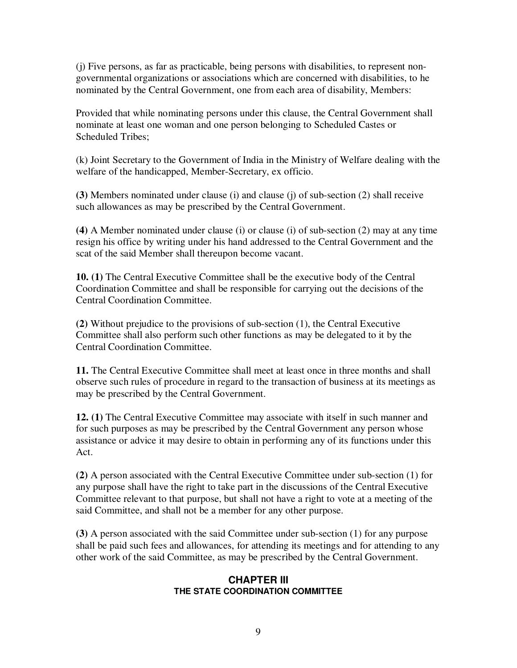(j) Five persons, as far as practicable, being persons with disabilities, to represent nongovernmental organizations or associations which are concerned with disabilities, to he nominated by the Central Government, one from each area of disability, Members:

Provided that while nominating persons under this clause, the Central Government shall nominate at least one woman and one person belonging to Scheduled Castes or Scheduled Tribes;

(k) Joint Secretary to the Government of India in the Ministry of Welfare dealing with the welfare of the handicapped, Member-Secretary, ex officio.

**(3)** Members nominated under clause (i) and clause (j) of sub-section (2) shall receive such allowances as may be prescribed by the Central Government.

**(4)** A Member nominated under clause (i) or clause (i) of sub-section (2) may at any time resign his office by writing under his hand addressed to the Central Government and the scat of the said Member shall thereupon become vacant.

**10. (1)** The Central Executive Committee shall be the executive body of the Central Coordination Committee and shall be responsible for carrying out the decisions of the Central Coordination Committee.

**(2)** Without prejudice to the provisions of sub-section (1), the Central Executive Committee shall also perform such other functions as may be delegated to it by the Central Coordination Committee.

**11.** The Central Executive Committee shall meet at least once in three months and shall observe such rules of procedure in regard to the transaction of business at its meetings as may be prescribed by the Central Government.

**12. (1)** The Central Executive Committee may associate with itself in such manner and for such purposes as may be prescribed by the Central Government any person whose assistance or advice it may desire to obtain in performing any of its functions under this Act.

**(2)** A person associated with the Central Executive Committee under sub-section (1) for any purpose shall have the right to take part in the discussions of the Central Executive Committee relevant to that purpose, but shall not have a right to vote at a meeting of the said Committee, and shall not be a member for any other purpose.

**(3)** A person associated with the said Committee under sub-section (1) for any purpose shall be paid such fees and allowances, for attending its meetings and for attending to any other work of the said Committee, as may be prescribed by the Central Government.

#### **CHAPTER III THE STATE COORDINATION COMMITTEE**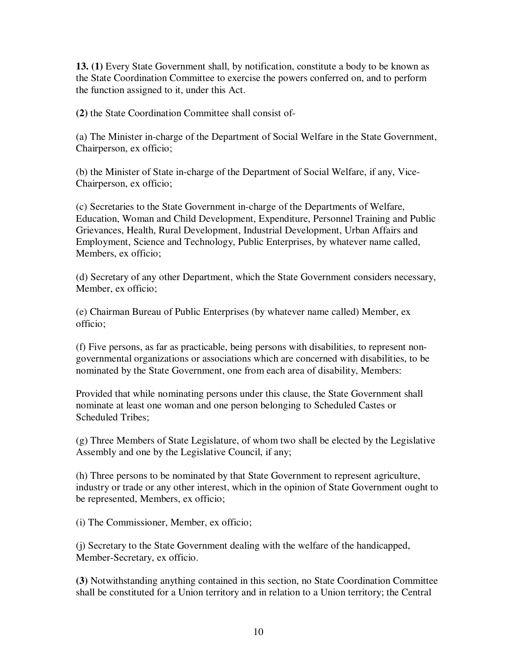**13. (1)** Every State Government shall, by notification, constitute a body to be known as the State Coordination Committee to exercise the powers conferred on, and to perform the function assigned to it, under this Act.

**(2)** the State Coordination Committee shall consist of-

(a) The Minister in-charge of the Department of Social Welfare in the State Government, Chairperson, ex officio;

(b) the Minister of State in-charge of the Department of Social Welfare, if any, Vice-Chairperson, ex officio;

(c) Secretaries to the State Government in-charge of the Departments of Welfare, Education, Woman and Child Development, Expenditure, Personnel Training and Public Grievances, Health, Rural Development, Industrial Development, Urban Affairs and Employment, Science and Technology, Public Enterprises, by whatever name called, Members, ex officio;

(d) Secretary of any other Department, which the State Government considers necessary, Member, ex officio;

(e) Chairman Bureau of Public Enterprises (by whatever name called) Member, ex officio;

(f) Five persons, as far as practicable, being persons with disabilities, to represent nongovernmental organizations or associations which are concerned with disabilities, to be nominated by the State Government, one from each area of disability, Members:

Provided that while nominating persons under this clause, the State Government shall nominate at least one woman and one person belonging to Scheduled Castes or Scheduled Tribes;

(g) Three Members of State Legislature, of whom two shall be elected by the Legislative Assembly and one by the Legislative Council, if any;

(h) Three persons to be nominated by that State Government to represent agriculture, industry or trade or any other interest, which in the opinion of State Government ought to be represented, Members, ex officio;

(i) The Commissioner, Member, ex officio;

(j) Secretary to the State Government dealing with the welfare of the handicapped, Member-Secretary, ex officio.

**(3)** Notwithstanding anything contained in this section, no State Coordination Committee shall be constituted for a Union territory and in relation to a Union territory; the Central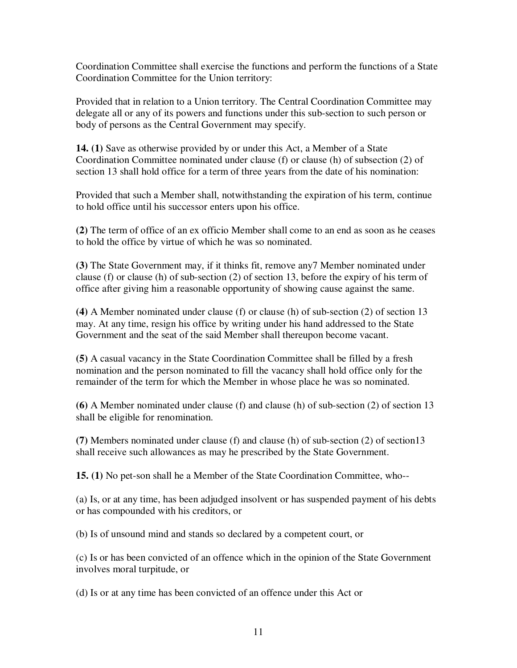Coordination Committee shall exercise the functions and perform the functions of a State Coordination Committee for the Union territory:

Provided that in relation to a Union territory. The Central Coordination Committee may delegate all or any of its powers and functions under this sub-section to such person or body of persons as the Central Government may specify.

**14. (1)** Save as otherwise provided by or under this Act, a Member of a State Coordination Committee nominated under clause (f) or clause (h) of subsection (2) of section 13 shall hold office for a term of three years from the date of his nomination:

Provided that such a Member shall, notwithstanding the expiration of his term, continue to hold office until his successor enters upon his office.

**(2)** The term of office of an ex officio Member shall come to an end as soon as he ceases to hold the office by virtue of which he was so nominated.

**(3)** The State Government may, if it thinks fit, remove any7 Member nominated under clause (f) or clause (h) of sub-section (2) of section 13, before the expiry of his term of office after giving him a reasonable opportunity of showing cause against the same.

**(4)** A Member nominated under clause (f) or clause (h) of sub-section (2) of section 13 may. At any time, resign his office by writing under his hand addressed to the State Government and the seat of the said Member shall thereupon become vacant.

**(5)** A casual vacancy in the State Coordination Committee shall be filled by a fresh nomination and the person nominated to fill the vacancy shall hold office only for the remainder of the term for which the Member in whose place he was so nominated.

**(6)** A Member nominated under clause (f) and clause (h) of sub-section (2) of section 13 shall be eligible for renomination.

**(7)** Members nominated under clause (f) and clause (h) of sub-section (2) of section13 shall receive such allowances as may he prescribed by the State Government.

**15. (1)** No pet-son shall he a Member of the State Coordination Committee, who--

(a) Is, or at any time, has been adjudged insolvent or has suspended payment of his debts or has compounded with his creditors, or

(b) Is of unsound mind and stands so declared by a competent court, or

(c) Is or has been convicted of an offence which in the opinion of the State Government involves moral turpitude, or

(d) Is or at any time has been convicted of an offence under this Act or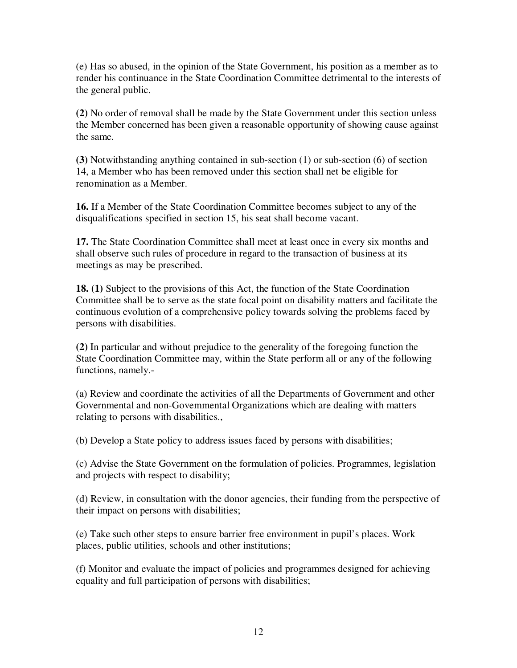(e) Has so abused, in the opinion of the State Government, his position as a member as to render his continuance in the State Coordination Committee detrimental to the interests of the general public.

**(2)** No order of removal shall be made by the State Government under this section unless the Member concerned has been given a reasonable opportunity of showing cause against the same.

**(3)** Notwithstanding anything contained in sub-section (1) or sub-section (6) of section 14, a Member who has been removed under this section shall net be eligible for renomination as a Member.

**16.** If a Member of the State Coordination Committee becomes subject to any of the disqualifications specified in section 15, his seat shall become vacant.

**17.** The State Coordination Committee shall meet at least once in every six months and shall observe such rules of procedure in regard to the transaction of business at its meetings as may be prescribed.

**18. (1)** Subject to the provisions of this Act, the function of the State Coordination Committee shall be to serve as the state focal point on disability matters and facilitate the continuous evolution of a comprehensive policy towards solving the problems faced by persons with disabilities.

**(2)** In particular and without prejudice to the generality of the foregoing function the State Coordination Committee may, within the State perform all or any of the following functions, namely.-

(a) Review and coordinate the activities of all the Departments of Government and other Governmental and non-Govemmental Organizations which are dealing with matters relating to persons with disabilities.,

(b) Develop a State policy to address issues faced by persons with disabilities;

(c) Advise the State Government on the formulation of policies. Programmes, legislation and projects with respect to disability;

(d) Review, in consultation with the donor agencies, their funding from the perspective of their impact on persons with disabilities;

(e) Take such other steps to ensure barrier free environment in pupil's places. Work places, public utilities, schools and other institutions;

(f) Monitor and evaluate the impact of policies and programmes designed for achieving equality and full participation of persons with disabilities;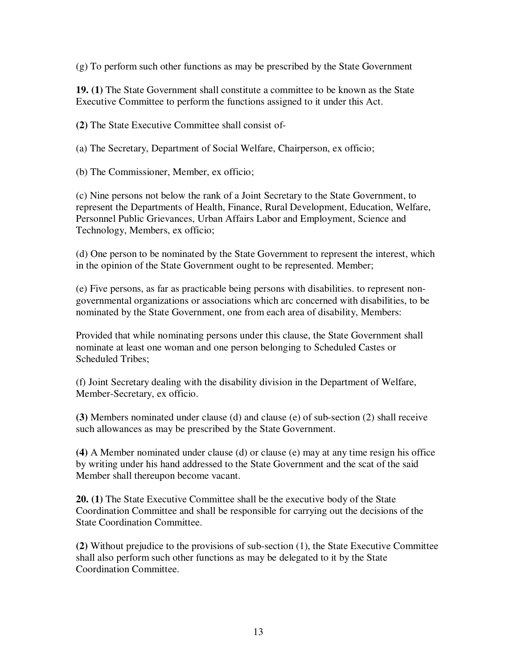(g) To perform such other functions as may be prescribed by the State Government

**19. (1)** The State Government shall constitute a committee to be known as the State Executive Committee to perform the functions assigned to it under this Act.

**(2)** The State Executive Committee shall consist of-

(a) The Secretary, Department of Social Welfare, Chairperson, ex officio;

(b) The Commissioner, Member, ex officio;

(c) Nine persons not below the rank of a Joint Secretary to the State Government, to represent the Departments of Health, Finance, Rural Development, Education, Welfare, Personnel Public Grievances, Urban Affairs Labor and Employment, Science and Technology, Members, ex officio;

(d) One person to be nominated by the State Government to represent the interest, which in the opinion of the State Government ought to be represented. Member;

(e) Five persons, as far as practicable being persons with disabilities. to represent nongovernmental organizations or associations which arc concerned with disabilities, to be nominated by the State Government, one from each area of disability, Members:

Provided that while nominating persons under this clause, the State Government shall nominate at least one woman and one person belonging to Scheduled Castes or Scheduled Tribes;

(f) Joint Secretary dealing with the disability division in the Department of Welfare, Member-Secretary, ex officio.

**(3)** Members nominated under clause (d) and clause (e) of sub-section (2) shall receive such allowances as may be prescribed by the State Government.

**(4)** A Member nominated under clause (d) or clause (e) may at any time resign his office by writing under his hand addressed to the State Government and the scat of the said Member shall thereupon become vacant.

**20. (1)** The State Executive Committee shall be the executive body of the State Coordination Committee and shall be responsible for carrying out the decisions of the State Coordination Committee.

**(2)** Without prejudice to the provisions of sub-section (1), the State Executive Committee shall also perform such other functions as may be delegated to it by the State Coordination Committee.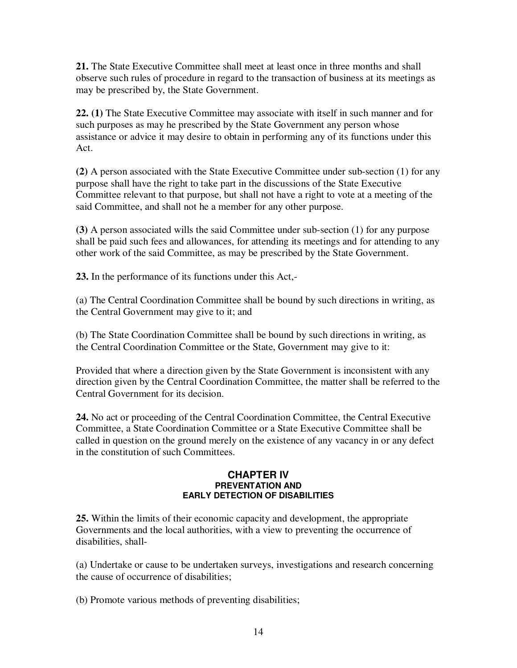**21.** The State Executive Committee shall meet at least once in three months and shall observe such rules of procedure in regard to the transaction of business at its meetings as may be prescribed by, the State Government.

**22. (1)** The State Executive Committee may associate with itself in such manner and for such purposes as may he prescribed by the State Government any person whose assistance or advice it may desire to obtain in performing any of its functions under this Act.

**(2)** A person associated with the State Executive Committee under sub-section (1) for any purpose shall have the right to take part in the discussions of the State Executive Committee relevant to that purpose, but shall not have a right to vote at a meeting of the said Committee, and shall not he a member for any other purpose.

**(3)** A person associated wills the said Committee under sub-section (1) for any purpose shall be paid such fees and allowances, for attending its meetings and for attending to any other work of the said Committee, as may be prescribed by the State Government.

**23.** In the performance of its functions under this Act,-

(a) The Central Coordination Committee shall be bound by such directions in writing, as the Central Government may give to it; and

(b) The State Coordination Committee shall be bound by such directions in writing, as the Central Coordination Committee or the State, Government may give to it:

Provided that where a direction given by the State Government is inconsistent with any direction given by the Central Coordination Committee, the matter shall be referred to the Central Government for its decision.

**24.** No act or proceeding of the Central Coordination Committee, the Central Executive Committee, a State Coordination Committee or a State Executive Committee shall be called in question on the ground merely on the existence of any vacancy in or any defect in the constitution of such Committees.

#### **CHAPTER IV PREVENTATION AND EARLY DETECTION OF DISABILITIES**

**25.** Within the limits of their economic capacity and development, the appropriate Governments and the local authorities, with a view to preventing the occurrence of disabilities, shall-

(a) Undertake or cause to be undertaken surveys, investigations and research concerning the cause of occurrence of disabilities;

(b) Promote various methods of preventing disabilities;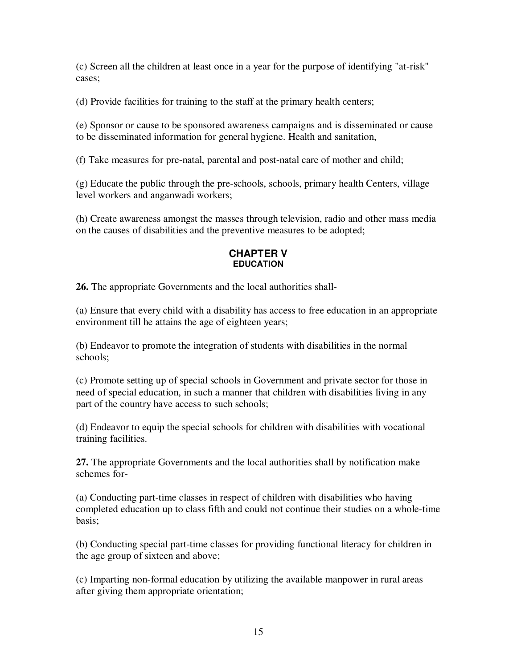(c) Screen all the children at least once in a year for the purpose of identifying "at-risk" cases;

(d) Provide facilities for training to the staff at the primary health centers;

(e) Sponsor or cause to be sponsored awareness campaigns and is disseminated or cause to be disseminated information for general hygiene. Health and sanitation,

(f) Take measures for pre-natal, parental and post-natal care of mother and child;

(g) Educate the public through the pre-schools, schools, primary health Centers, village level workers and anganwadi workers;

(h) Create awareness amongst the masses through television, radio and other mass media on the causes of disabilities and the preventive measures to be adopted;

## **CHAPTER V EDUCATION**

**26.** The appropriate Governments and the local authorities shall-

(a) Ensure that every child with a disability has access to free education in an appropriate environment till he attains the age of eighteen years;

(b) Endeavor to promote the integration of students with disabilities in the normal schools;

(c) Promote setting up of special schools in Government and private sector for those in need of special education, in such a manner that children with disabilities living in any part of the country have access to such schools;

(d) Endeavor to equip the special schools for children with disabilities with vocational training facilities.

**27.** The appropriate Governments and the local authorities shall by notification make schemes for-

(a) Conducting part-time classes in respect of children with disabilities who having completed education up to class fifth and could not continue their studies on a whole-time basis;

(b) Conducting special part-time classes for providing functional literacy for children in the age group of sixteen and above;

(c) Imparting non-formal education by utilizing the available manpower in rural areas after giving them appropriate orientation;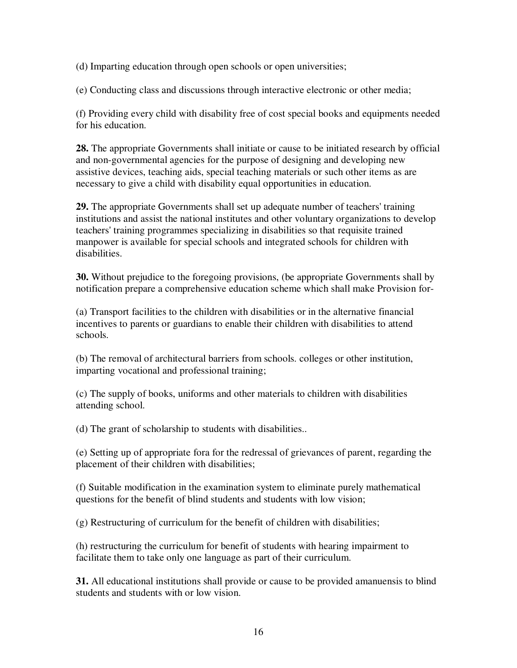(d) Imparting education through open schools or open universities;

(e) Conducting class and discussions through interactive electronic or other media;

(f) Providing every child with disability free of cost special books and equipments needed for his education.

**28.** The appropriate Governments shall initiate or cause to be initiated research by official and non-governmental agencies for the purpose of designing and developing new assistive devices, teaching aids, special teaching materials or such other items as are necessary to give a child with disability equal opportunities in education.

**29.** The appropriate Governments shall set up adequate number of teachers' training institutions and assist the national institutes and other voluntary organizations to develop teachers' training programmes specializing in disabilities so that requisite trained manpower is available for special schools and integrated schools for children with disabilities.

**30.** Without prejudice to the foregoing provisions, (be appropriate Governments shall by notification prepare a comprehensive education scheme which shall make Provision for-

(a) Transport facilities to the children with disabilities or in the alternative financial incentives to parents or guardians to enable their children with disabilities to attend schools.

(b) The removal of architectural barriers from schools. colleges or other institution, imparting vocational and professional training;

(c) The supply of books, uniforms and other materials to children with disabilities attending school.

(d) The grant of scholarship to students with disabilities..

(e) Setting up of appropriate fora for the redressal of grievances of parent, regarding the placement of their children with disabilities;

(f) Suitable modification in the examination system to eliminate purely mathematical questions for the benefit of blind students and students with low vision;

(g) Restructuring of curriculum for the benefit of children with disabilities;

(h) restructuring the curriculum for benefit of students with hearing impairment to facilitate them to take only one language as part of their curriculum.

**31.** All educational institutions shall provide or cause to be provided amanuensis to blind students and students with or low vision.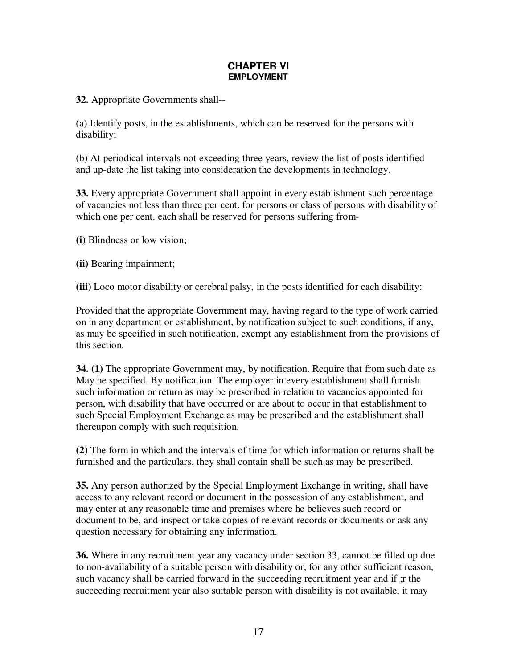## **CHAPTER VI EMPLOYMENT**

**32.** Appropriate Governments shall--

(a) Identify posts, in the establishments, which can be reserved for the persons with disability;

(b) At periodical intervals not exceeding three years, review the list of posts identified and up-date the list taking into consideration the developments in technology.

**33.** Every appropriate Government shall appoint in every establishment such percentage of vacancies not less than three per cent. for persons or class of persons with disability of which one per cent. each shall be reserved for persons suffering from-

**(i)** Blindness or low vision;

**(ii)** Bearing impairment;

**(iii)** Loco motor disability or cerebral palsy, in the posts identified for each disability:

Provided that the appropriate Government may, having regard to the type of work carried on in any department or establishment, by notification subject to such conditions, if any, as may be specified in such notification, exempt any establishment from the provisions of this section.

**34. (1)** The appropriate Government may, by notification. Require that from such date as May he specified. By notification. The employer in every establishment shall furnish such information or return as may be prescribed in relation to vacancies appointed for person, with disability that have occurred or are about to occur in that establishment to such Special Employment Exchange as may be prescribed and the establishment shall thereupon comply with such requisition.

**(2)** The form in which and the intervals of time for which information or returns shall be furnished and the particulars, they shall contain shall be such as may be prescribed.

**35.** Any person authorized by the Special Employment Exchange in writing, shall have access to any relevant record or document in the possession of any establishment, and may enter at any reasonable time and premises where he believes such record or document to be, and inspect or take copies of relevant records or documents or ask any question necessary for obtaining any information.

**36.** Where in any recruitment year any vacancy under section 33, cannot be filled up due to non-availability of a suitable person with disability or, for any other sufficient reason, such vacancy shall be carried forward in the succeeding recruitment year and if ;r the succeeding recruitment year also suitable person with disability is not available, it may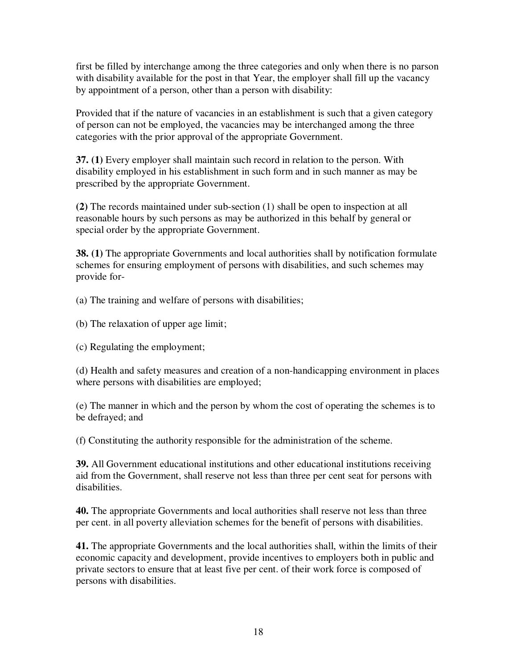first be filled by interchange among the three categories and only when there is no parson with disability available for the post in that Year, the employer shall fill up the vacancy by appointment of a person, other than a person with disability:

Provided that if the nature of vacancies in an establishment is such that a given category of person can not be employed, the vacancies may be interchanged among the three categories with the prior approval of the appropriate Government.

**37. (1)** Every employer shall maintain such record in relation to the person. With disability employed in his establishment in such form and in such manner as may be prescribed by the appropriate Government.

**(2)** The records maintained under sub-section (1) shall be open to inspection at all reasonable hours by such persons as may be authorized in this behalf by general or special order by the appropriate Government.

**38. (1)** The appropriate Governments and local authorities shall by notification formulate schemes for ensuring employment of persons with disabilities, and such schemes may provide for-

(a) The training and welfare of persons with disabilities;

- (b) The relaxation of upper age limit;
- (c) Regulating the employment;

(d) Health and safety measures and creation of a non-handicapping environment in places where persons with disabilities are employed;

(e) The manner in which and the person by whom the cost of operating the schemes is to be defrayed; and

(f) Constituting the authority responsible for the administration of the scheme.

**39.** All Government educational institutions and other educational institutions receiving aid from the Government, shall reserve not less than three per cent seat for persons with disabilities.

**40.** The appropriate Governments and local authorities shall reserve not less than three per cent. in all poverty alleviation schemes for the benefit of persons with disabilities.

**41.** The appropriate Governments and the local authorities shall, within the limits of their economic capacity and development, provide incentives to employers both in public and private sectors to ensure that at least five per cent. of their work force is composed of persons with disabilities.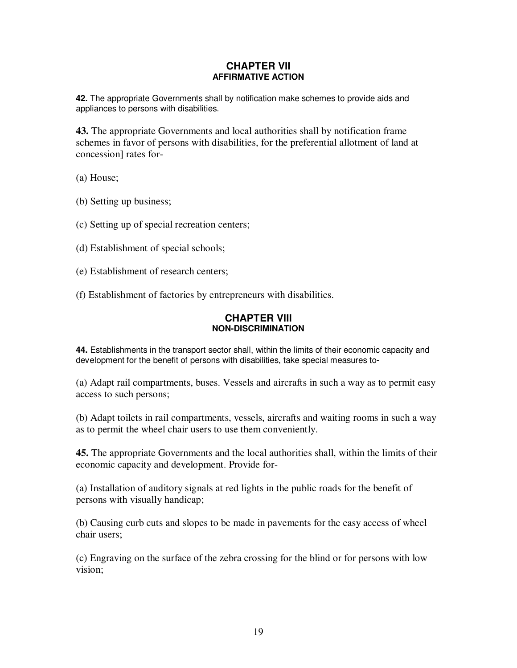#### **CHAPTER VII AFFIRMATIVE ACTION**

**42.** The appropriate Governments shall by notification make schemes to provide aids and appliances to persons with disabilities.

**43.** The appropriate Governments and local authorities shall by notification frame schemes in favor of persons with disabilities, for the preferential allotment of land at concession] rates for-

(a) House;

(b) Setting up business;

(c) Setting up of special recreation centers;

(d) Establishment of special schools;

(e) Establishment of research centers;

(f) Establishment of factories by entrepreneurs with disabilities.

### **CHAPTER VIII NON-DISCRIMINATION**

**44.** Establishments in the transport sector shall, within the limits of their economic capacity and development for the benefit of persons with disabilities, take special measures to-

(a) Adapt rail compartments, buses. Vessels and aircrafts in such a way as to permit easy access to such persons;

(b) Adapt toilets in rail compartments, vessels, aircrafts and waiting rooms in such a way as to permit the wheel chair users to use them conveniently.

**45.** The appropriate Governments and the local authorities shall, within the limits of their economic capacity and development. Provide for-

(a) Installation of auditory signals at red lights in the public roads for the benefit of persons with visually handicap;

(b) Causing curb cuts and slopes to be made in pavements for the easy access of wheel chair users;

(c) Engraving on the surface of the zebra crossing for the blind or for persons with low vision;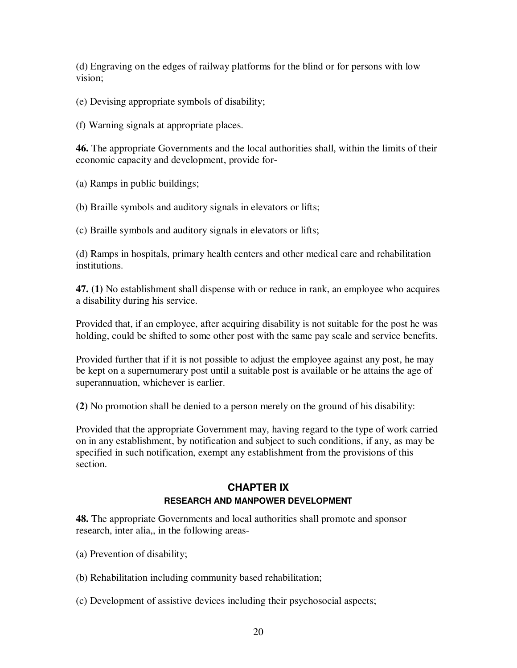(d) Engraving on the edges of railway platforms for the blind or for persons with low vision;

(e) Devising appropriate symbols of disability;

(f) Warning signals at appropriate places.

**46.** The appropriate Governments and the local authorities shall, within the limits of their economic capacity and development, provide for-

(a) Ramps in public buildings;

(b) Braille symbols and auditory signals in elevators or lifts;

(c) Braille symbols and auditory signals in elevators or lifts;

(d) Ramps in hospitals, primary health centers and other medical care and rehabilitation institutions.

**47. (1)** No establishment shall dispense with or reduce in rank, an employee who acquires a disability during his service.

Provided that, if an employee, after acquiring disability is not suitable for the post he was holding, could be shifted to some other post with the same pay scale and service benefits.

Provided further that if it is not possible to adjust the employee against any post, he may be kept on a supernumerary post until a suitable post is available or he attains the age of superannuation, whichever is earlier.

**(2)** No promotion shall be denied to a person merely on the ground of his disability:

Provided that the appropriate Government may, having regard to the type of work carried on in any establishment, by notification and subject to such conditions, if any, as may be specified in such notification, exempt any establishment from the provisions of this section.

## **CHAPTER IX RESEARCH AND MANPOWER DEVELOPMENT**

**48.** The appropriate Governments and local authorities shall promote and sponsor research, inter alia,, in the following areas-

- (a) Prevention of disability;
- (b) Rehabilitation including community based rehabilitation;
- (c) Development of assistive devices including their psychosocial aspects;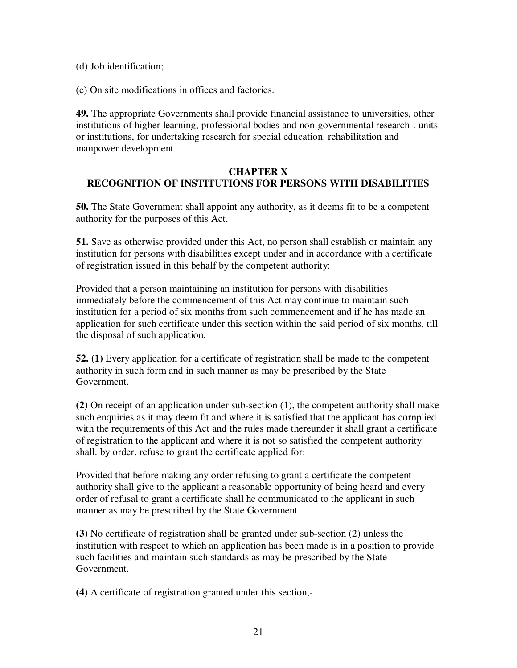(d) Job identification;

(e) On site modifications in offices and factories.

**49.** The appropriate Governments shall provide financial assistance to universities, other institutions of higher learning, professional bodies and non-governmental research-. units or institutions, for undertaking research for special education. rehabilitation and manpower development

## **CHAPTER X RECOGNITION OF INSTITUTIONS FOR PERSONS WITH DISABILITIES**

**50.** The State Government shall appoint any authority, as it deems fit to be a competent authority for the purposes of this Act.

**51.** Save as otherwise provided under this Act, no person shall establish or maintain any institution for persons with disabilities except under and in accordance with a certificate of registration issued in this behalf by the competent authority:

Provided that a person maintaining an institution for persons with disabilities immediately before the commencement of this Act may continue to maintain such institution for a period of six months from such commencement and if he has made an application for such certificate under this section within the said period of six months, till the disposal of such application.

**52. (1)** Every application for a certificate of registration shall be made to the competent authority in such form and in such manner as may be prescribed by the State Government.

**(2)** On receipt of an application under sub-section (1), the competent authority shall make such enquiries as it may deem fit and where it is satisfied that the applicant has cornplied with the requirements of this Act and the rules made thereunder it shall grant a certificate of registration to the applicant and where it is not so satisfied the competent authority shall. by order. refuse to grant the certificate applied for:

Provided that before making any order refusing to grant a certificate the competent authority shall give to the applicant a reasonable opportunity of being heard and every order of refusal to grant a certificate shall he communicated to the applicant in such manner as may be prescribed by the State Government.

**(3)** No certificate of registration shall be granted under sub-section (2) unless the institution with respect to which an application has been made is in a position to provide such facilities and maintain such standards as may be prescribed by the State Government.

**(4)** A certificate of registration granted under this section,-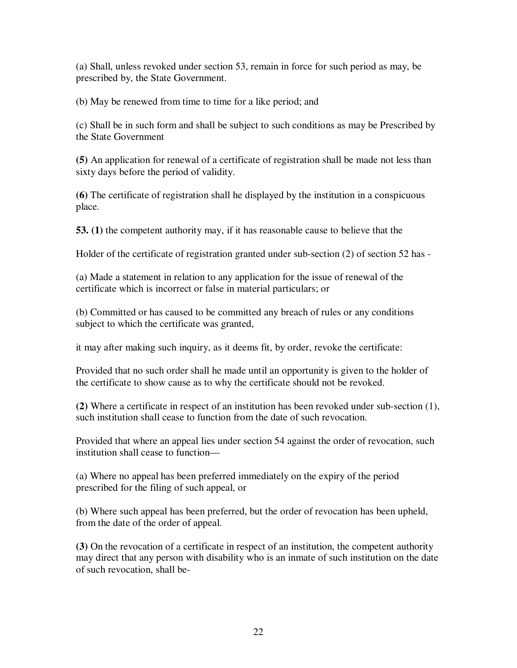(a) Shall, unless revoked under section 53, remain in force for such period as may, be prescribed by, the State Government.

(b) May be renewed from time to time for a like period; and

(c) Shall be in such form and shall be subject to such conditions as may be Prescribed by the State Government

**(5)** An application for renewal of a certificate of registration shall be made not less than sixty days before the period of validity.

**(6)** The certificate of registration shall he displayed by the institution in a conspicuous place.

**53. (1)** the competent authority may, if it has reasonable cause to believe that the

Holder of the certificate of registration granted under sub-section (2) of section 52 has -

(a) Made a statement in relation to any application for the issue of renewal of the certificate which is incorrect or false in material particulars; or

(b) Committed or has caused to be committed any breach of rules or any conditions subject to which the certificate was granted,

it may after making such inquiry, as it deems fit, by order, revoke the certificate:

Provided that no such order shall he made until an opportunity is given to the holder of the certificate to show cause as to why the certificate should not be revoked.

**(2)** Where a certificate in respect of an institution has been revoked under sub-section (1), such institution shall cease to function from the date of such revocation.

Provided that where an appeal lies under section 54 against the order of revocation, such institution shall cease to function—

(a) Where no appeal has been preferred immediately on the expiry of the period prescribed for the filing of such appeal, or

(b) Where such appeal has been preferred, but the order of revocation has been upheld, from the date of the order of appeal.

**(3)** On the revocation of a certificate in respect of an institution, the competent authority may direct that any person with disability who is an inmate of such institution on the date of such revocation, shall be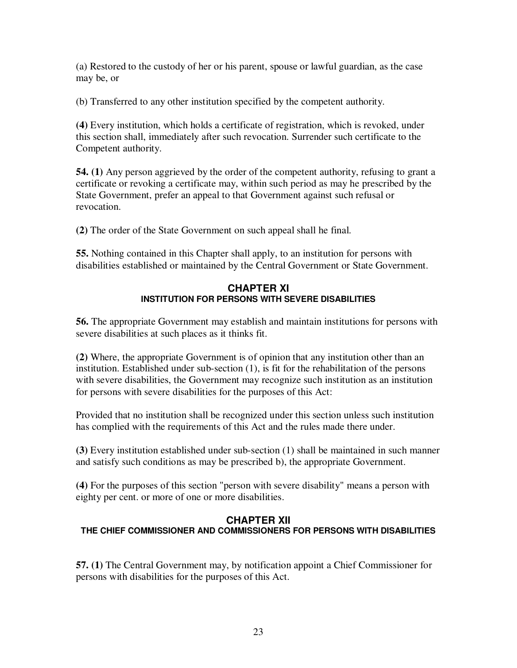(a) Restored to the custody of her or his parent, spouse or lawful guardian, as the case may be, or

(b) Transferred to any other institution specified by the competent authority.

**(4)** Every institution, which holds a certificate of registration, which is revoked, under this section shall, immediately after such revocation. Surrender such certificate to the Competent authority.

**54. (1)** Any person aggrieved by the order of the competent authority, refusing to grant a certificate or revoking a certificate may, within such period as may he prescribed by the State Government, prefer an appeal to that Government against such refusal or revocation.

**(2)** The order of the State Government on such appeal shall he final.

**55.** Nothing contained in this Chapter shall apply, to an institution for persons with disabilities established or maintained by the Central Government or State Government.

#### **CHAPTER XI INSTITUTION FOR PERSONS WITH SEVERE DISABILITIES**

**56.** The appropriate Government may establish and maintain institutions for persons with severe disabilities at such places as it thinks fit.

**(2)** Where, the appropriate Government is of opinion that any institution other than an institution. Established under sub-section (1), is fit for the rehabilitation of the persons with severe disabilities, the Government may recognize such institution as an institution for persons with severe disabilities for the purposes of this Act:

Provided that no institution shall be recognized under this section unless such institution has complied with the requirements of this Act and the rules made there under.

**(3)** Every institution established under sub-section (1) shall be maintained in such manner and satisfy such conditions as may be prescribed b), the appropriate Government.

**(4)** For the purposes of this section "person with severe disability" means a person with eighty per cent. or more of one or more disabilities.

### **CHAPTER XII THE CHIEF COMMISSIONER AND COMMISSIONERS FOR PERSONS WITH DISABILITIES**

**57. (1)** The Central Government may, by notification appoint a Chief Commissioner for persons with disabilities for the purposes of this Act.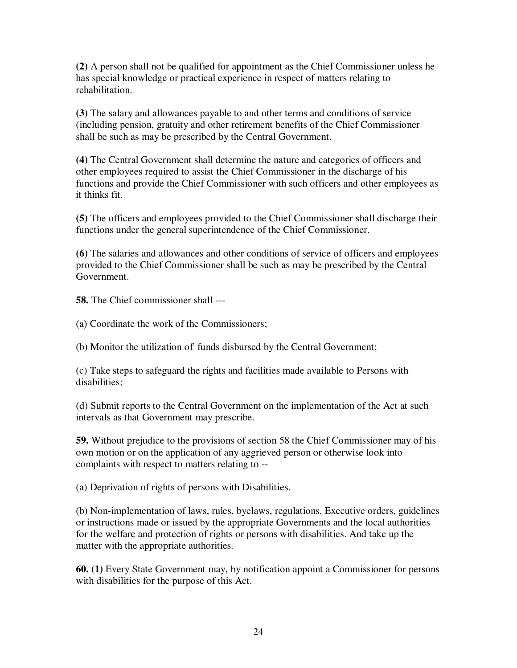**(2)** A person shall not be qualified for appointment as the Chief Commissioner unless he has special knowledge or practical experience in respect of matters relating to rehabilitation.

**(3)** The salary and allowances payable to and other terms and conditions of service (including pension, gratuity and other retirement benefits of the Chief Commissioner shall be such as may be prescribed by the Central Government.

**(4)** The Central Government shall determine the nature and categories of officers and other employees required to assist the Chief Commissioner in the discharge of his functions and provide the Chief Commissioner with such officers and other employees as it thinks fit.

**(5)** The officers and employees provided to the Chief Commissioner shall discharge their functions under the general superintendence of the Chief Commissioner.

**(6)** The salaries and allowances and other conditions of service of officers and employees provided to the Chief Commissioner shall be such as may be prescribed by the Central Government.

**58.** The Chief commissioner shall ---

(a) Coordinate the work of the Commissioners;

(b) Monitor the utilization of' funds disbursed by the Central Government;

(c) Take steps to safeguard the rights and facilities made available to Persons with disabilities;

(d) Submit reports to the Central Government on the implementation of the Act at such intervals as that Government may prescribe.

**59.** Without prejudice to the provisions of section 58 the Chief Commissioner may of his own motion or on the application of any aggrieved person or otherwise look into complaints with respect to matters relating to --

(a) Deprivation of rights of persons with Disabilities.

(b) Non-implementation of laws, rules, byelaws, regulations. Executive orders, guidelines or instructions made or issued by the appropriate Governments and the local authorities for the welfare and protection of rights or persons with disabilities. And take up the matter with the appropriate authorities.

**60. (1)** Every State Government may, by notification appoint a Commissioner for persons with disabilities for the purpose of this Act.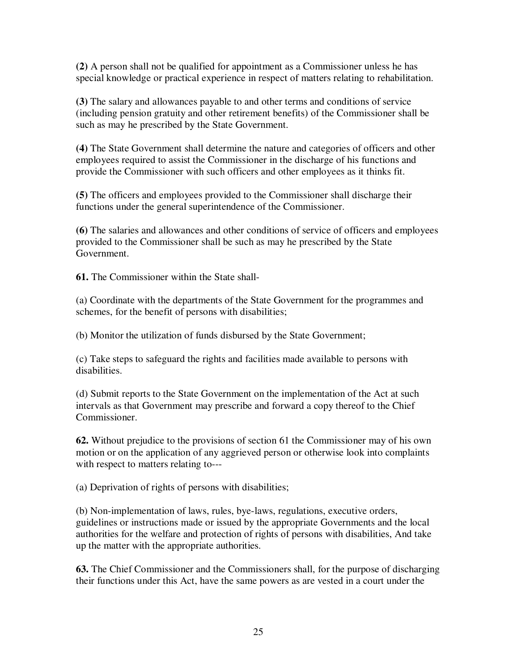**(2)** A person shall not be qualified for appointment as a Commissioner unless he has special knowledge or practical experience in respect of matters relating to rehabilitation.

**(3)** The salary and allowances payable to and other terms and conditions of service (including pension gratuity and other retirement benefits) of the Commissioner shall be such as may he prescribed by the State Government.

**(4)** The State Government shall determine the nature and categories of officers and other employees required to assist the Commissioner in the discharge of his functions and provide the Commissioner with such officers and other employees as it thinks fit.

**(5)** The officers and employees provided to the Commissioner shall discharge their functions under the general superintendence of the Commissioner.

**(6)** The salaries and allowances and other conditions of service of officers and employees provided to the Commissioner shall be such as may he prescribed by the State Government.

**61.** The Commissioner within the State shall-

(a) Coordinate with the departments of the State Government for the programmes and schemes, for the benefit of persons with disabilities;

(b) Monitor the utilization of funds disbursed by the State Government;

(c) Take steps to safeguard the rights and facilities made available to persons with disabilities.

(d) Submit reports to the State Government on the implementation of the Act at such intervals as that Government may prescribe and forward a copy thereof to the Chief Commissioner.

**62.** Without prejudice to the provisions of section 61 the Commissioner may of his own motion or on the application of any aggrieved person or otherwise look into complaints with respect to matters relating to---

(a) Deprivation of rights of persons with disabilities;

(b) Non-implementation of laws, rules, bye-laws, regulations, executive orders, guidelines or instructions made or issued by the appropriate Governments and the local authorities for the welfare and protection of rights of persons with disabilities, And take up the matter with the appropriate authorities.

**63.** The Chief Commissioner and the Commissioners shall, for the purpose of discharging their functions under this Act, have the same powers as are vested in a court under the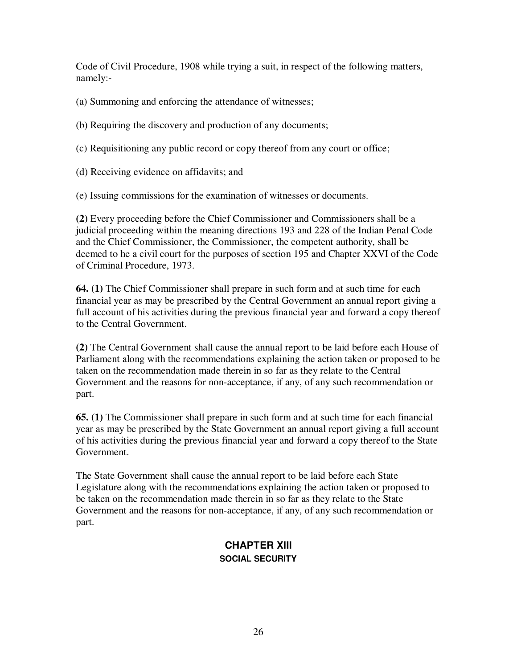Code of Civil Procedure, 1908 while trying a suit, in respect of the following matters, namely:-

(a) Summoning and enforcing the attendance of witnesses;

(b) Requiring the discovery and production of any documents;

(c) Requisitioning any public record or copy thereof from any court or office;

(d) Receiving evidence on affidavits; and

(e) Issuing commissions for the examination of witnesses or documents.

**(2)** Every proceeding before the Chief Commissioner and Commissioners shall be a judicial proceeding within the meaning directions 193 and 228 of the Indian Penal Code and the Chief Commissioner, the Commissioner, the competent authority, shall be deemed to he a civil court for the purposes of section 195 and Chapter XXVI of the Code of Criminal Procedure, 1973.

**64. (1)** The Chief Commissioner shall prepare in such form and at such time for each financial year as may be prescribed by the Central Government an annual report giving a full account of his activities during the previous financial year and forward a copy thereof to the Central Government.

**(2)** The Central Government shall cause the annual report to be laid before each House of Parliament along with the recommendations explaining the action taken or proposed to be taken on the recommendation made therein in so far as they relate to the Central Government and the reasons for non-acceptance, if any, of any such recommendation or part.

**65. (1)** The Commissioner shall prepare in such form and at such time for each financial year as may be prescribed by the State Government an annual report giving a full account of his activities during the previous financial year and forward a copy thereof to the State Government.

The State Government shall cause the annual report to be laid before each State Legislature along with the recommendations explaining the action taken or proposed to be taken on the recommendation made therein in so far as they relate to the State Government and the reasons for non-acceptance, if any, of any such recommendation or part.

# **CHAPTER XIII SOCIAL SECURITY**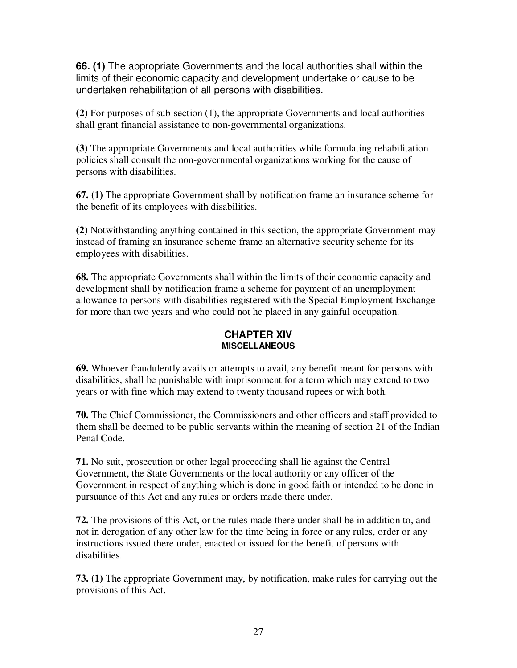**66. (1)** The appropriate Governments and the local authorities shall within the limits of their economic capacity and development undertake or cause to be undertaken rehabilitation of all persons with disabilities.

**(2)** For purposes of sub-section (1), the appropriate Governments and local authorities shall grant financial assistance to non-governmental organizations.

**(3)** The appropriate Governments and local authorities while formulating rehabilitation policies shall consult the non-governmental organizations working for the cause of persons with disabilities.

**67. (1)** The appropriate Government shall by notification frame an insurance scheme for the benefit of its employees with disabilities.

**(2)** Notwithstanding anything contained in this section, the appropriate Government may instead of framing an insurance scheme frame an alternative security scheme for its employees with disabilities.

**68.** The appropriate Governments shall within the limits of their economic capacity and development shall by notification frame a scheme for payment of an unemployment allowance to persons with disabilities registered with the Special Employment Exchange for more than two years and who could not he placed in any gainful occupation.

### **CHAPTER XIV MISCELLANEOUS**

**69.** Whoever fraudulently avails or attempts to avail, any benefit meant for persons with disabilities, shall be punishable with imprisonment for a term which may extend to two years or with fine which may extend to twenty thousand rupees or with both.

**70.** The Chief Commissioner, the Commissioners and other officers and staff provided to them shall be deemed to be public servants within the meaning of section 21 of the Indian Penal Code.

**71.** No suit, prosecution or other legal proceeding shall lie against the Central Government, the State Governments or the local authority or any officer of the Government in respect of anything which is done in good faith or intended to be done in pursuance of this Act and any rules or orders made there under.

**72.** The provisions of this Act, or the rules made there under shall be in addition to, and not in derogation of any other law for the time being in force or any rules, order or any instructions issued there under, enacted or issued for the benefit of persons with disabilities.

**73. (1)** The appropriate Government may, by notification, make rules for carrying out the provisions of this Act.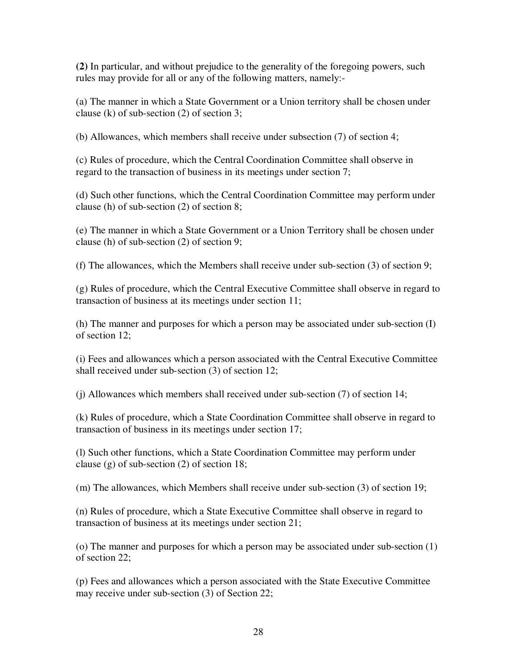**(2)** In particular, and without prejudice to the generality of the foregoing powers, such rules may provide for all or any of the following matters, namely:-

(a) The manner in which a State Government or a Union territory shall be chosen under clause (k) of sub-section (2) of section 3;

(b) Allowances, which members shall receive under subsection (7) of section 4;

(c) Rules of procedure, which the Central Coordination Committee shall observe in regard to the transaction of business in its meetings under section 7;

(d) Such other functions, which the Central Coordination Committee may perform under clause (h) of sub-section (2) of section 8;

(e) The manner in which a State Government or a Union Territory shall be chosen under clause (h) of sub-section (2) of section 9;

(f) The allowances, which the Members shall receive under sub-section (3) of section 9;

(g) Rules of procedure, which the Central Executive Committee shall observe in regard to transaction of business at its meetings under section 11;

(h) The manner and purposes for which a person may be associated under sub-section (I) of section 12;

(i) Fees and allowances which a person associated with the Central Executive Committee shall received under sub-section (3) of section 12;

(j) Allowances which members shall received under sub-section (7) of section 14;

(k) Rules of procedure, which a State Coordination Committee shall observe in regard to transaction of business in its meetings under section 17;

(l) Such other functions, which a State Coordination Committee may perform under clause (g) of sub-section (2) of section 18;

(m) The allowances, which Members shall receive under sub-section (3) of section 19;

(n) Rules of procedure, which a State Executive Committee shall observe in regard to transaction of business at its meetings under section 21;

(o) The manner and purposes for which a person may be associated under sub-section (1) of section 22;

(p) Fees and allowances which a person associated with the State Executive Committee may receive under sub-section (3) of Section 22;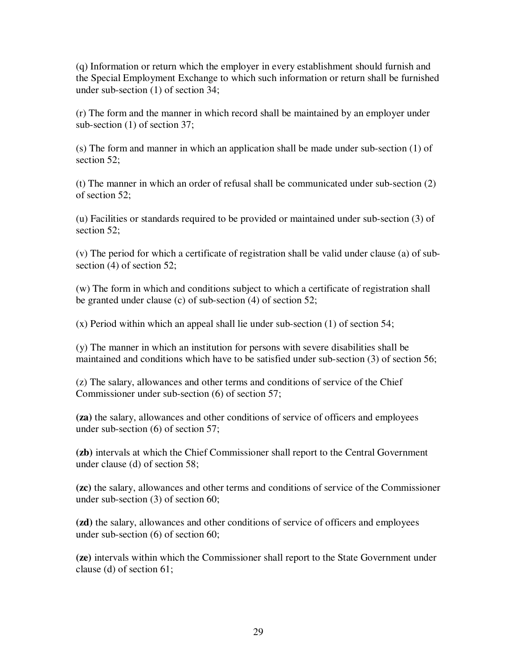(q) Information or return which the employer in every establishment should furnish and the Special Employment Exchange to which such information or return shall be furnished under sub-section (1) of section 34;

(r) The form and the manner in which record shall be maintained by an employer under sub-section (1) of section 37;

(s) The form and manner in which an application shall be made under sub-section (1) of section 52:

(t) The manner in which an order of refusal shall be communicated under sub-section (2) of section 52;

(u) Facilities or standards required to be provided or maintained under sub-section (3) of section 52:

(v) The period for which a certificate of registration shall be valid under clause (a) of subsection (4) of section 52;

(w) The form in which and conditions subject to which a certificate of registration shall be granted under clause (c) of sub-section (4) of section 52;

(x) Period within which an appeal shall lie under sub-section (1) of section 54;

(y) The manner in which an institution for persons with severe disabilities shall be maintained and conditions which have to be satisfied under sub-section (3) of section 56;

(z) The salary, allowances and other terms and conditions of service of the Chief Commissioner under sub-section (6) of section 57;

**(za)** the salary, allowances and other conditions of service of officers and employees under sub-section (6) of section 57;

**(zb)** intervals at which the Chief Commissioner shall report to the Central Government under clause (d) of section 58;

**(zc)** the salary, allowances and other terms and conditions of service of the Commissioner under sub-section (3) of section 60;

**(zd)** the salary, allowances and other conditions of service of officers and employees under sub-section (6) of section 60;

**(ze)** intervals within which the Commissioner shall report to the State Government under clause (d) of section 61;